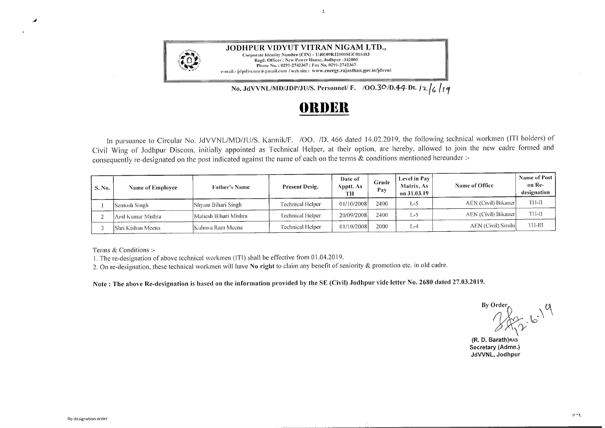

## **f)lll)Ell**

 $\mathbf{1}$ 

In pursuance to Circular No. JdVVNL/MD/JU/S. Karmik/F. /OO. /D. 466 dated 14.02.2019, the following technical workmen (ITI holders) of Civil Wing of .Jodhpur Discom. initially appointed as Technical Helper, at their option. are hereby, allowed to join the new cadre formed and consequently re-designated on the post indicated against the name of each on the terms & conditions mentioned hereunder :-

| S. No. | <b>Name of Employee</b> | <b>Father's Name</b> | <b>Present Desig.</b> | Date of<br>Apptt. As-<br>тн | Grade<br>Pav | Level in Pay<br><b>Matrix</b> , As<br>on 31.03.19 | Name of Office      | Name of Post<br>on Re-<br>designation |
|--------|-------------------------|----------------------|-----------------------|-----------------------------|--------------|---------------------------------------------------|---------------------|---------------------------------------|
|        | Santosh Singh           | IShvam Bihari Singh- | Technical Helper      | 01/10/2008                  | 2400         | $L-5$                                             | AEN (Civil) Bikaner | TH-II                                 |
|        | Anil Kumar Mishra       | Mahesh Bihari Mishra | Technical Helper      | 20/09/2008                  | 2400         | L-5                                               | AEN (Civil) Bikaner | TH-II                                 |
|        | IShri Kishan Meena      | Kaluwa Ram Meena     | Technical Helper      | 01/10/2008                  | 2000         | $1 - 4$                                           | AEN (Civil) Sirohi  | TH-HI                                 |

Terms & Conditions :-

1. The re-designation of above technical workmen (ITI) shall be effective from O 1.04.2019.

2. On re-designation, these technical workmen will have **No right** to claim any benefit of seniority & promotion etc. in old cadre.

Note: The above Re-designation is based on the information provided by the SE (Civil) Jodhpur vide letter No. 2680 dated 27.03.2019.

 $\mathbb{B}$ y Order **0**  $16.14$ *\_? {Y* 

**(R. D. Barathjass Secretary (Admn.) JdWNL, Jodhpur** 

 $\overrightarrow{a}$